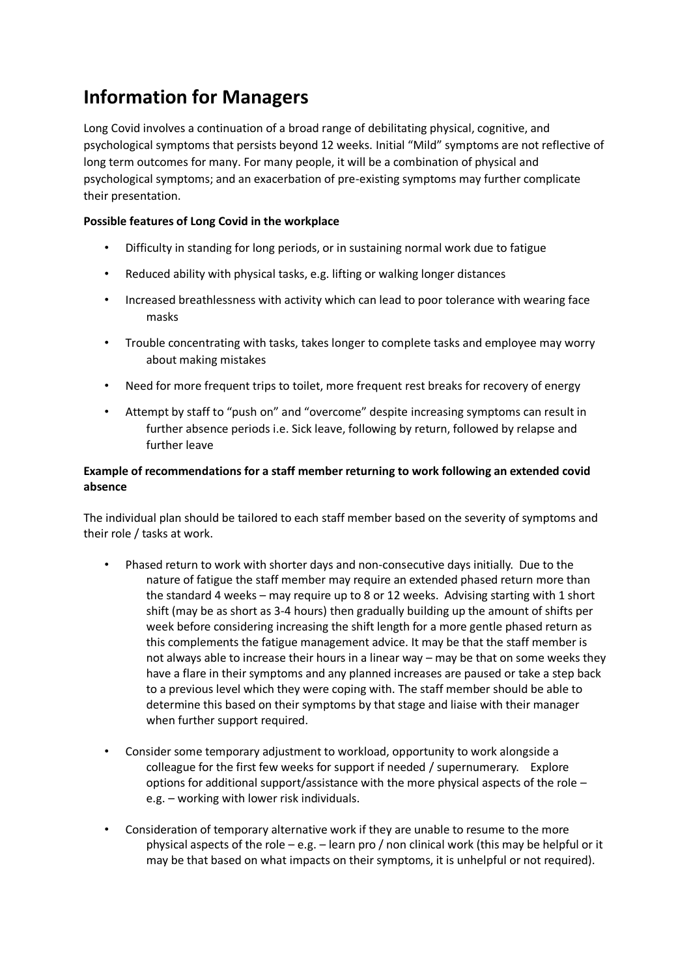## **Information for Managers**

Long Covid involves a continuation of a broad range of debilitating physical, cognitive, and psychological symptoms that persists beyond 12 weeks. Initial "Mild" symptoms are not reflective of long term outcomes for many. For many people, it will be a combination of physical and psychological symptoms; and an exacerbation of pre-existing symptoms may further complicate their presentation.

## **Possible features of Long Covid in the workplace**

- Difficulty in standing for long periods, or in sustaining normal work due to fatigue
- Reduced ability with physical tasks, e.g. lifting or walking longer distances
- Increased breathlessness with activity which can lead to poor tolerance with wearing face masks
- Trouble concentrating with tasks, takes longer to complete tasks and employee may worry about making mistakes
- Need for more frequent trips to toilet, more frequent rest breaks for recovery of energy
- Attempt by staff to "push on" and "overcome" despite increasing symptoms can result in further absence periods i.e. Sick leave, following by return, followed by relapse and further leave

## **Example of recommendations for a staff member returning to work following an extended covid absence**

The individual plan should be tailored to each staff member based on the severity of symptoms and their role / tasks at work.

- Phased return to work with shorter days and non-consecutive days initially. Due to the nature of fatigue the staff member may require an extended phased return more than the standard 4 weeks – may require up to 8 or 12 weeks. Advising starting with 1 short shift (may be as short as 3-4 hours) then gradually building up the amount of shifts per week before considering increasing the shift length for a more gentle phased return as this complements the fatigue management advice. It may be that the staff member is not always able to increase their hours in a linear way – may be that on some weeks they have a flare in their symptoms and any planned increases are paused or take a step back to a previous level which they were coping with. The staff member should be able to determine this based on their symptoms by that stage and liaise with their manager when further support required.
- Consider some temporary adjustment to workload, opportunity to work alongside a colleague for the first few weeks for support if needed / supernumerary. Explore options for additional support/assistance with the more physical aspects of the role  $$ e.g. – working with lower risk individuals.
- Consideration of temporary alternative work if they are unable to resume to the more physical aspects of the role – e.g. – learn pro / non clinical work (this may be helpful or it may be that based on what impacts on their symptoms, it is unhelpful or not required).